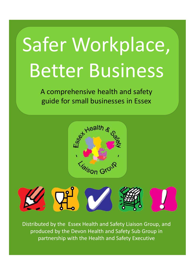# Safer Workplace, Better Business

A comprehensive health and safety guide for small businesses in Essex





Distributed by the Essex Health and Safety Liaison Group, and produced by the Devon Health and Safety Sub Group in partnership with the Health and Safety Executive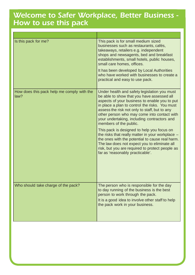#### *Welcome to Safer Workplace, Better Business - How to use this pack*

| Is this pack for me?                               | This pack is for small medium sized<br>businesses such as restaurants, cafés,<br>takeaways, retailers e.g. independent<br>shops and newsagents, bed and breakfast<br>establishments, small hotels, public houses,<br>small care homes, offices.                                                                                                                                                                                                                                                                                                                                                                                                                    |
|----------------------------------------------------|--------------------------------------------------------------------------------------------------------------------------------------------------------------------------------------------------------------------------------------------------------------------------------------------------------------------------------------------------------------------------------------------------------------------------------------------------------------------------------------------------------------------------------------------------------------------------------------------------------------------------------------------------------------------|
|                                                    | It has been developed by Local Authorities<br>who have worked with businesses to create a<br>practical and easy to use pack.                                                                                                                                                                                                                                                                                                                                                                                                                                                                                                                                       |
| How does this pack help me comply with the<br>law? | Under health and safety legislation you must<br>be able to show that you have assessed all<br>aspects of your business to enable you to put<br>in place a plan to control the risks. You must<br>assess the risk not only to staff, but to any<br>other person who may come into contact with<br>your undertaking, including contractors and<br>members of the public.<br>This pack is designed to help you focus on<br>the risks that really matter in your workplace -<br>the ones with the potential to cause real harm.<br>The law does not expect you to eliminate all<br>risk, but you are required to protect people as<br>far as 'reasonably practicable'. |
| Who should take charge of the pack?                | The person who is responsible for the day<br>to day running of the business is the best<br>person to work through the pack.<br>It is a good idea to involve other staff to help<br>the pack work in your business.                                                                                                                                                                                                                                                                                                                                                                                                                                                 |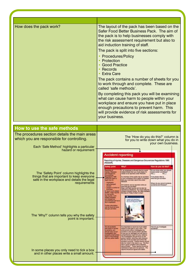| How does the pack work?                                                                                                                                                                                                                                                                                                                                                                                                         | The layout of the pack has been based on the<br>Safer Food Better Business Pack. The aim of<br>the pack is to help businesses comply with<br>the risk assessment requirement but also to<br>aid induction training of staff.<br>The pack is split into five sections:<br>• Procedures/Policy<br>Protection<br><b>Good Practice</b><br>Records<br><b>Extra Care</b><br>The pack contains a number of sheets for you<br>to work through and complete. These are<br>called 'safe methods'.<br>By completing this pack you will be examining<br>what can cause harm to people within your<br>workplace and ensure you have put in place<br>enough precautions to prevent harm. This<br>will provide evidence of risk assessments for<br>your business.                                                                                                                                                                                                                                                                                                                                                                                                                                                                                                                                                                                                                                                                     |
|---------------------------------------------------------------------------------------------------------------------------------------------------------------------------------------------------------------------------------------------------------------------------------------------------------------------------------------------------------------------------------------------------------------------------------|------------------------------------------------------------------------------------------------------------------------------------------------------------------------------------------------------------------------------------------------------------------------------------------------------------------------------------------------------------------------------------------------------------------------------------------------------------------------------------------------------------------------------------------------------------------------------------------------------------------------------------------------------------------------------------------------------------------------------------------------------------------------------------------------------------------------------------------------------------------------------------------------------------------------------------------------------------------------------------------------------------------------------------------------------------------------------------------------------------------------------------------------------------------------------------------------------------------------------------------------------------------------------------------------------------------------------------------------------------------------------------------------------------------------|
|                                                                                                                                                                                                                                                                                                                                                                                                                                 |                                                                                                                                                                                                                                                                                                                                                                                                                                                                                                                                                                                                                                                                                                                                                                                                                                                                                                                                                                                                                                                                                                                                                                                                                                                                                                                                                                                                                        |
| How to use the safe methods<br>The procedures section details the main areas<br>which you are responsible for controlling.<br>Each 'Safe Method' highlights a particular<br>hazard or requirement<br>The 'Safety Point' column highlights the<br>things that are important to keep everyone<br>safe in the workplace and details the legal<br>requirements<br>The 'Why?' column tells you why the safety<br>point is important. | The 'How do you do this?' column is<br>for you to write down what you do in<br>your own business.<br><b>Accident reporting</b><br>Reporting of injuries, Diseases and Dangerous Occurences Regulations 1995<br>RIDDOR<br>How do you do this?<br><b>Why?</b><br>adety point<br>If an employee is off work due to a work.<br>Housed illness then you must check if it.<br>Do you know when you should<br>report certain conditions?<br>HODDE TO Be reported under RODOR.<br><b>MAIL</b><br><b>Cargerius</b><br><b>Note:</b><br>umerices<br>Liuciano 1995<br>If a mamber of the public has an accident<br>If not please refer to:<br><b>EXIOPI DIMIN B</b><br>tri your workplace and is taken to hospital<br>www.hise.gov.uk.hiddor<br>par que la ap<br>then you must also report this under<br><b>RODOR</b><br>angebytet:<br>Where do you record incidents.<br><b><i>DEL-DUACIÓNES</i></b><br>All incidents can be reported online at<br>accidents and thresses?<br>particles:<br>www.fise.gov.uk/riddor<br>Major and fatal injuries can be also be<br><b>HONG IN DOOR</b><br>reported by bringhane. You must notify the<br>ು ರಾಜಕ<br>Incident Contact Centre, Tal. 0845-3009923<br>Monday to Freling 8.30am to Spre<br><b>PA ANGER VISUALE</b><br>an a<br>gain is the franching of<br>ha. Bhasann at a Sun<br><b>DE ROOM BE</b><br><b>IN OF BACKDROOM</b><br>wher information<br>an be found at week<br>we gonullations |
| In some places you only need to tick a box<br>and in other places write a small amount.                                                                                                                                                                                                                                                                                                                                         | <b>VALUE AND RESIDENCE</b><br>It is important to record as much owtar<br>How do you investigate<br>has retudi in tryunes<br>white it is still health in your mind. If am<br><b>ADDRESS</b><br>paraona più<br>entercement officer miestiquine the<br>isht (apr) dur en<br>extigation and<br>accident of the irguined periods disciden-<br>to sue you for damages you will have a<br>are a bitel wither<br>comprehensive report for your detence.<br>port of the findings<br>The investigation should focus on the<br>person rejuned, what they were doing at<br>id any action cases.<br>the time of the accident and where the<br>accident pozumed. Foative issues should<br>also be noted in the report, e.g., "the ficor<br>was in good condition and a handrail<br>was provided". These reports should be<br>restricted to facts and not remove The<br>reports should be signed and detect                                                                                                                                                                                                                                                                                                                                                                                                                                                                                                                           |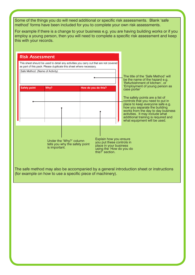Some of the things you do will need additional or specific risk assessments. Blank 'safe method' forms have been included for you to complete your own risk assessments.

For example if there is a change to your business e.g. you are having building works or if you employ a young person, then you will need to complete a specific risk assessment and keep this with your records.

| Safe Method: (Name of Activity) | This sheet should be used to detail any activities you carry out that are not covered<br>as part of this pack. Please duplicate this sheet where necessary. |                                                                                                                             |  | The title of the 'Safe Method' will<br>be the name of the hazard e.g.<br>'Refurbishment of kitchen', or                                                                                                           |
|---------------------------------|-------------------------------------------------------------------------------------------------------------------------------------------------------------|-----------------------------------------------------------------------------------------------------------------------------|--|-------------------------------------------------------------------------------------------------------------------------------------------------------------------------------------------------------------------|
| <b>Safety point</b>             | Why?                                                                                                                                                        | How do you do this?                                                                                                         |  | 'Employment of young person as<br>case porter'<br>The safety points are a list of<br>controls that you need to put in                                                                                             |
|                                 |                                                                                                                                                             |                                                                                                                             |  | place to keep everyone safe e.g.<br>how you separate the building<br>works from the day to day business<br>activities. It may include what<br>additional training is required and<br>what equipment will be used. |
|                                 | Under the 'Why?' column<br>tells you why the safety point<br>is important.                                                                                  | Explain how you ensure<br>you put these controls in<br>place in your business<br>using the 'How do you do<br>this? section. |  |                                                                                                                                                                                                                   |

(for example on how to use a specific piece of machinery).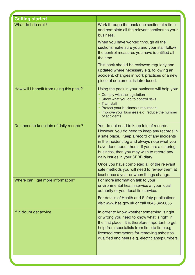| <b>Getting started</b>                   |                                                                                                                                                                                                                                                                                                                         |
|------------------------------------------|-------------------------------------------------------------------------------------------------------------------------------------------------------------------------------------------------------------------------------------------------------------------------------------------------------------------------|
| What do I do next?                       | Work through the pack one section at a time<br>and complete all the relevant sections to your<br>business.                                                                                                                                                                                                              |
|                                          | When you have worked through all the<br>sections make sure you and your staff follow<br>the control measures you have identified all<br>the time.                                                                                                                                                                       |
|                                          | This pack should be reviewed regularly and<br>updated where necessary e.g. following an<br>accident, changes in work practices or a new<br>piece of equipment is introduced.                                                                                                                                            |
| How will I benefit from using this pack? | Using the pack in your business will help you:<br>Comply with the legislation<br>Show what you do to control risks<br><b>Train staff</b><br>Protect your business's reputation<br>Improve your business e.g. reduce the number<br>of accidents                                                                          |
| Do I need to keep lots of daily records? | You do not need to keep lots of records.<br>However, you do need to keep any records in<br>a safe place. Keep a record of any incidents<br>in the incident log and always note what you<br>have done about them. If you are a catering<br>business, then you may wish to record any<br>daily issues in your SFBB diary. |
|                                          | Once you have completed all of the relevant<br>safe methods you will need to review them at<br>least once a year or when things change.                                                                                                                                                                                 |
| Where can I get more information?        | For more information talk to your<br>environmental health service at your local<br>authority or your local fire service.                                                                                                                                                                                                |
|                                          | For details of Health and Safety publications<br>visit www.hse.gov.uk or call 0845 3450055.                                                                                                                                                                                                                             |
| If in doubt get advice                   | In order to know whether something is right<br>or wrong you need to know what is right in<br>the first place. It is therefore important to get<br>help from specialists from time to time e.g.<br>licensed contractors for removing asbestos,<br>qualified engineers e.g. electricians/plumbers.                        |